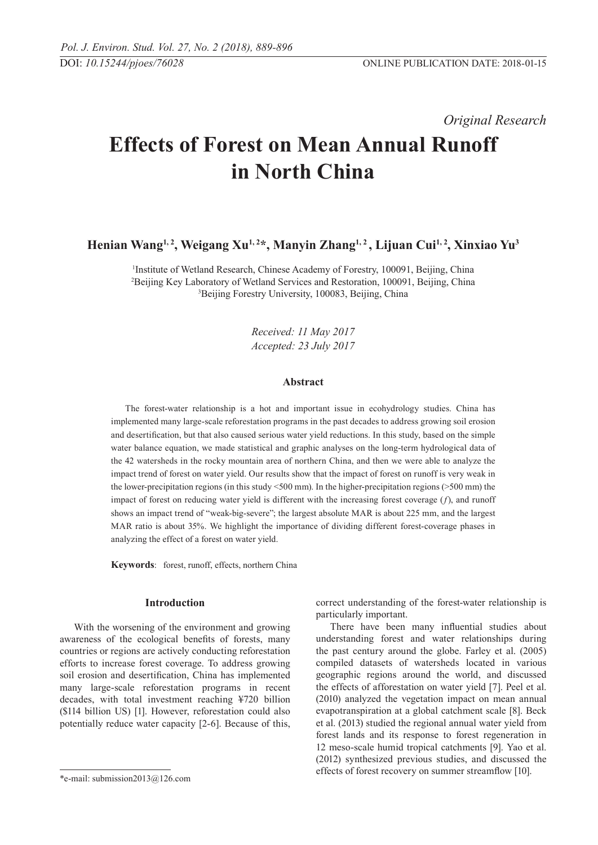*Original Research* 

# **Effects of Forest on Mean Annual Runoff in North China**

**Henian Wang1, 2, Weigang Xu1, 2\*, Manyin Zhang1, 2 , Lijuan Cui1, 2, Xinxiao Yu3**

<sup>1</sup>Institute of Wetland Research, Chinese Academy of Forestry, 100091, Beijing, China 2 Beijing Key Laboratory of Wetland Services and Restoration, 100091, Beijing, China 3 Beijing Forestry University, 100083, Beijing, China

> *Received: 11 May 2017 Accepted: 23 July 2017*

## **Abstract**

The forest-water relationship is a hot and important issue in ecohydrology studies. China has implemented many large-scale reforestation programs in the past decades to address growing soil erosion and desertification, but that also caused serious water yield reductions. In this study, based on the simple water balance equation, we made statistical and graphic analyses on the long-term hydrological data of the 42 watersheds in the rocky mountain area of northern China, and then we were able to analyze the impact trend of forest on water yield. Our results show that the impact of forest on runoff is very weak in the lower-precipitation regions (in this study <500 mm). In the higher-precipitation regions (>500 mm) the impact of forest on reducing water yield is different with the increasing forest coverage (*f*), and runoff shows an impact trend of "weak-big-severe"; the largest absolute MAR is about 225 mm, and the largest MAR ratio is about 35%. We highlight the importance of dividing different forest-coverage phases in analyzing the effect of a forest on water yield.

**Keywords**: forest, runoff, effects, northern China

## **Introduction**

With the worsening of the environment and growing awareness of the ecological benefits of forests, many countries or regions are actively conducting reforestation efforts to increase forest coverage. To address growing soil erosion and desertification, China has implemented many large-scale reforestation programs in recent decades, with total investment reaching ¥720 billion (\$114 billion US) [1]. However, reforestation could also potentially reduce water capacity [2-6]. Because of this, correct understanding of the forest-water relationship is particularly important.

There have been many influential studies about understanding forest and water relationships during the past century around the globe. Farley et al. (2005) compiled datasets of watersheds located in various geographic regions around the world, and discussed the effects of afforestation on water yield [7]. Peel et al. (2010) analyzed the vegetation impact on mean annual evapotranspiration at a global catchment scale [8]. Beck et al. (2013) studied the regional annual water yield from forest lands and its response to forest regeneration in 12 meso-scale humid tropical catchments [9]. Yao et al. (2012) synthesized previous studies, and discussed the effects of forest recovery on summer streamflow [10].

<sup>\*</sup>e-mail: submission2013@126.com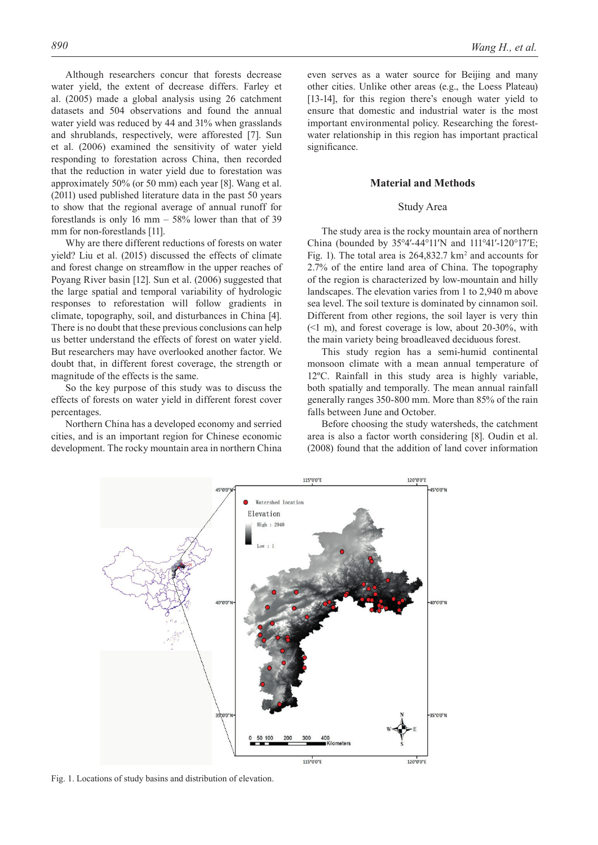Although researchers concur that forests decrease water yield, the extent of decrease differs. Farley et al. (2005) made a global analysis using 26 catchment datasets and 504 observations and found the annual water yield was reduced by 44 and 31% when grasslands and shrublands, respectively, were afforested [7]. Sun et al. (2006) examined the sensitivity of water yield responding to forestation across China, then recorded that the reduction in water yield due to forestation was approximately 50% (or 50 mm) each year [8]. Wang et al. (2011) used published literature data in the past 50 years to show that the regional average of annual runoff for forestlands is only 16 mm  $-$  58% lower than that of 39 mm for non-forestlands [11].

Why are there different reductions of forests on water yield? Liu et al. (2015) discussed the effects of climate and forest change on streamflow in the upper reaches of Poyang River basin [12]. Sun et al. (2006) suggested that the large spatial and temporal variability of hydrologic responses to reforestation will follow gradients in climate, topography, soil, and disturbances in China [4]. There is no doubt that these previous conclusions can help us better understand the effects of forest on water yield. But researchers may have overlooked another factor. We doubt that, in different forest coverage, the strength or magnitude of the effects is the same.

So the key purpose of this study was to discuss the effects of forests on water yield in different forest cover percentages.

Northern China has a developed economy and serried cities, and is an important region for Chinese economic development. The rocky mountain area in northern China even serves as a water source for Beijing and many other cities. Unlike other areas (e.g., the Loess Plateau) [13-14], for this region there's enough water yield to ensure that domestic and industrial water is the most important environmental policy. Researching the forestwater relationship in this region has important practical significance.

### **Material and Methods**

#### Study Area

The study area is the rocky mountain area of northern China (bounded by 35°4′-44°11′N and 111°41′-120°17′E; Fig. 1). The total area is  $264,832.7 \text{ km}^2$  and accounts for 2.7% of the entire land area of China. The topography of the region is characterized by low-mountain and hilly landscapes. The elevation varies from 1 to 2,940 m above sea level. The soil texture is dominated by cinnamon soil. Different from other regions, the soil layer is very thin  $(\leq 1 \text{ m})$ , and forest coverage is low, about 20-30%, with the main variety being broadleaved deciduous forest.

This study region has a semi-humid continental monsoon climate with a mean annual temperature of 12ºC. Rainfall in this study area is highly variable, both spatially and temporally. The mean annual rainfall generally ranges 350-800 mm. More than 85% of the rain falls between June and October.

Before choosing the study watersheds, the catchment area is also a factor worth considering [8]. Oudin et al. (2008) found that the addition of land cover information



Fig. 1. Locations of study basins and distribution of elevation.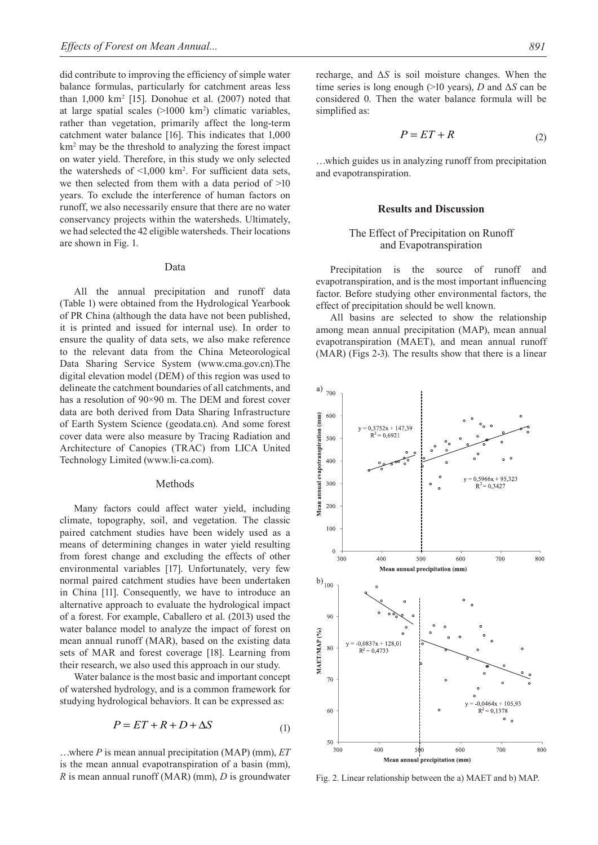did contribute to improving the efficiency of simple water balance formulas, particularly for catchment areas less than  $1,000 \text{ km}^2$  [15]. Donohue et al.  $(2007)$  noted that at large spatial scales (>1000 km2 ) climatic variables, rather than vegetation, primarily affect the long-term catchment water balance [16]. This indicates that 1,000 km2 may be the threshold to analyzing the forest impact on water yield. Therefore, in this study we only selected the watersheds of  $\leq 1,000$  km<sup>2</sup>. For sufficient data sets, we then selected from them with a data period of  $>10$ years. To exclude the interference of human factors on runoff, we also necessarily ensure that there are no water conservancy projects within the watersheds. Ultimately, we had selected the 42 eligible watersheds. Their locations are shown in Fig. 1.

#### Data

All the annual precipitation and runoff data (Table 1) were obtained from the Hydrological Yearbook of PR China (although the data have not been published, it is printed and issued for internal use). In order to ensure the quality of data sets, we also make reference to the relevant data from the China Meteorological Data Sharing Service System (www.cma.gov.cn).The digital elevation model (DEM) of this region was used to delineate the catchment boundaries of all catchments, and has a resolution of 90×90 m. The DEM and forest cover data are both derived from Data Sharing Infrastructure of Earth System Science (geodata.cn). And some forest cover data were also measure by Tracing Radiation and Architecture of Canopies (TRAC) from LICA United Technology Limited (www.li-ca.com).

#### Methods

Many factors could affect water yield, including climate, topography, soil, and vegetation. The classic paired catchment studies have been widely used as a means of determining changes in water yield resulting from forest change and excluding the effects of other environmental variables [17]. Unfortunately, very few normal paired catchment studies have been undertaken in China [11]. Consequently, we have to introduce an alternative approach to evaluate the hydrological impact of a forest. For example, Caballero et al. (2013) used the water balance model to analyze the impact of forest on mean annual runoff (MAR), based on the existing data sets of MAR and forest coverage [18]. Learning from their research, we also used this approach in our study.

Water balance is the most basic and important concept of watershed hydrology, and is a common framework for studying hydrological behaviors. It can be expressed as:

$$
P = ET + R + D + \Delta S \tag{1}
$$

…where *P* is mean annual precipitation (MAP) (mm), *ET*  is the mean annual evapotranspiration of a basin (mm), *R* is mean annual runoff (MAR) (mm), *D* is groundwater

recharge, and  $\Delta S$  is soil moisture changes. When the time series is long enough (>10 years), *D* and Δ*S* can be considered 0. Then the water balance formula will be simplified as:

$$
P = ET + R \tag{2}
$$

…which guides us in analyzing runoff from precipitation and evapotranspiration.

#### **Results and Discussion**

# The Effect of Precipitation on Runoff and Evapotranspiration

Precipitation is the source of runoff and evapotranspiration, and is the most important influencing factor. Before studying other environmental factors, the effect of precipitation should be well known.

All basins are selected to show the relationship among mean annual precipitation (MAP), mean annual evapotranspiration (MAET), and mean annual runoff (MAR) (Figs 2-3). The results show that there is a linear



Fig. 2. Linear relationship between the a) MAET and b) MAP.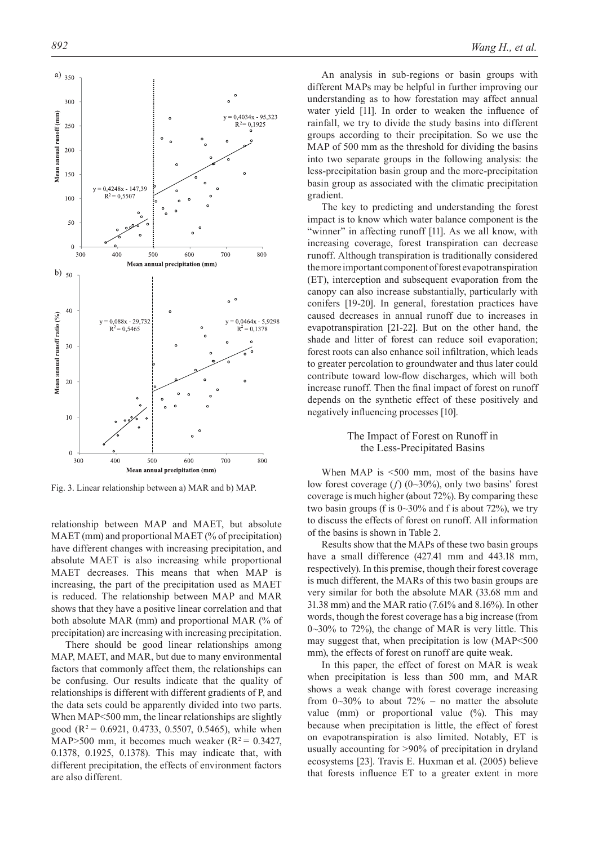

Fig. 3. Linear relationship between a) MAR and b) MAP.

relationship between MAP and MAET, but absolute MAET (mm) and proportional MAET (% of precipitation) have different changes with increasing precipitation, and absolute MAET is also increasing while proportional MAET decreases. This means that when MAP is increasing, the part of the precipitation used as MAET is reduced. The relationship between MAP and MAR shows that they have a positive linear correlation and that both absolute MAR (mm) and proportional MAR (% of precipitation) are increasing with increasing precipitation.

There should be good linear relationships among MAP, MAET, and MAR, but due to many environmental factors that commonly affect them, the relationships can be confusing. Our results indicate that the quality of relationships is different with different gradients of P, and the data sets could be apparently divided into two parts. When MAP<500 mm, the linear relationships are slightly good ( $R^2$  = 0.6921, 0.4733, 0.5507, 0.5465), while when MAP>500 mm, it becomes much weaker ( $R^2$  = 0.3427, 0.1378, 0.1925, 0.1378). This may indicate that, with different precipitation, the effects of environment factors are also different.

An analysis in sub-regions or basin groups with different MAPs may be helpful in further improving our understanding as to how forestation may affect annual water yield [11]. In order to weaken the influence of rainfall, we try to divide the study basins into different groups according to their precipitation. So we use the MAP of 500 mm as the threshold for dividing the basins into two separate groups in the following analysis: the less-precipitation basin group and the more-precipitation basin group as associated with the climatic precipitation gradient.

The key to predicting and understanding the forest impact is to know which water balance component is the "winner" in affecting runoff [11]. As we all know, with increasing coverage, forest transpiration can decrease runoff. Although transpiration is traditionally considered the more important component of forest evapotranspiration (ET), interception and subsequent evaporation from the canopy can also increase substantially, particularly with conifers [19-20]. In general, forestation practices have caused decreases in annual runoff due to increases in evapotranspiration [21-22]. But on the other hand, the shade and litter of forest can reduce soil evaporation; forest roots can also enhance soil infiltration, which leads to greater percolation to groundwater and thus later could contribute toward low-flow discharges, which will both increase runoff. Then the final impact of forest on runoff depends on the synthetic effect of these positively and negatively influencing processes [10].

## The Impact of Forest on Runoff in the Less-Precipitated Basins

When MAP is <500 mm, most of the basins have low forest coverage (*f*) (0~30%), only two basins' forest coverage is much higher (about 72%). By comparing these two basin groups (f is  $0 \sim 30\%$  and f is about 72%), we try to discuss the effects of forest on runoff. All information of the basins is shown in Table 2.

Results show that the MAPs of these two basin groups have a small difference (427.41 mm and 443.18 mm, respectively). In this premise, though their forest coverage is much different, the MARs of this two basin groups are very similar for both the absolute MAR (33.68 mm and 31.38 mm) and the MAR ratio (7.61% and 8.16%). In other words, though the forest coverage has a big increase (from 0~30% to 72%), the change of MAR is very little. This may suggest that, when precipitation is low (MAP<500 mm), the effects of forest on runoff are quite weak.

In this paper, the effect of forest on MAR is weak when precipitation is less than 500 mm, and MAR shows a weak change with forest coverage increasing from  $0\sim30\%$  to about  $72\%$  – no matter the absolute value (mm) or proportional value (%). This may because when precipitation is little, the effect of forest on evapotranspiration is also limited. Notably, ET is usually accounting for >90% of precipitation in dryland ecosystems [23]. Travis E. Huxman et al. (2005) believe that forests influence ET to a greater extent in more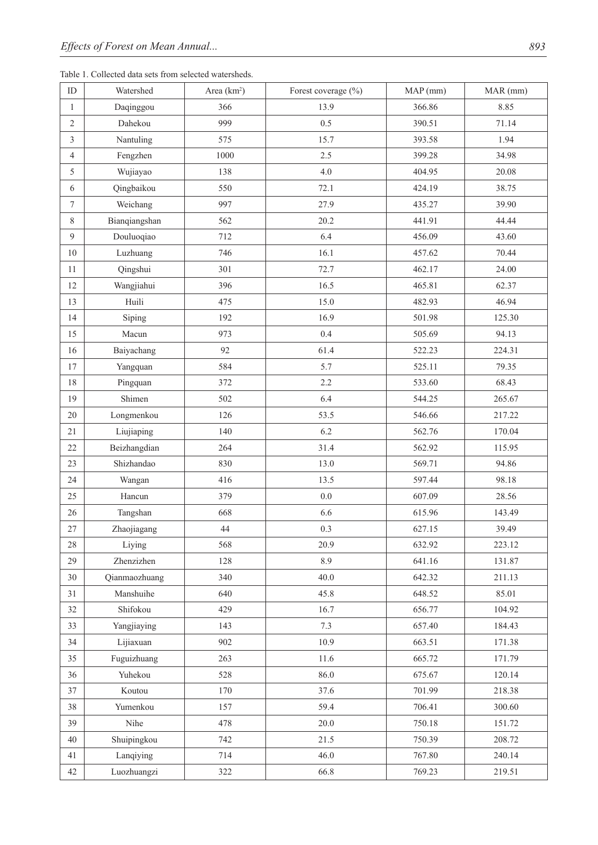Table 1. Collected data sets from selected watersheds.

| $\mathbf{ID}$    | Watershed     | Area $(km2)$ | Forest coverage $(\%)$ | MAP(mm) | MAR (mm) |
|------------------|---------------|--------------|------------------------|---------|----------|
| $\mathbf{1}$     | Daqinggou     | 366          | 13.9                   | 366.86  | 8.85     |
| $\overline{2}$   | Dahekou       | 999          | 0.5                    | 390.51  | 71.14    |
| $\mathfrak{Z}$   | Nantuling     | 575          | 15.7                   | 393.58  | 1.94     |
| $\overline{4}$   | Fengzhen      | 1000         | 2.5                    | 399.28  | 34.98    |
| 5                | Wujiayao      | 138          | 4.0                    | 404.95  | 20.08    |
| $\sqrt{6}$       | Qingbaikou    | 550          | 72.1                   | 424.19  | 38.75    |
| $\boldsymbol{7}$ | Weichang      | 997          | 27.9                   | 435.27  | 39.90    |
| 8                | Bianqiangshan | 562          | 20.2                   | 441.91  | 44.44    |
| $\overline{9}$   | Douluoqiao    | 712          | 6.4                    | 456.09  | 43.60    |
| 10               | Luzhuang      | 746          | 16.1                   | 457.62  | 70.44    |
| 11               | Qingshui      | 301          | 72.7                   | 462.17  | 24.00    |
| 12               | Wangjiahui    | 396          | 16.5                   | 465.81  | 62.37    |
| 13               | Huili         | 475          | 15.0                   | 482.93  | 46.94    |
| 14               | Siping        | 192          | 16.9                   | 501.98  | 125.30   |
| 15               | Macun         | 973          | 0.4                    | 505.69  | 94.13    |
| 16               | Baiyachang    | 92           | 61.4                   | 522.23  | 224.31   |
| 17               | Yangquan      | 584          | 5.7                    | 525.11  | 79.35    |
| $18\,$           | Pingquan      | 372          | 2.2                    | 533.60  | 68.43    |
| 19               | Shimen        | 502          | 6.4                    | 544.25  | 265.67   |
| 20               | Longmenkou    | 126          | 53.5                   | 546.66  | 217.22   |
| 21               | Liujiaping    | 140          | 6.2                    | 562.76  | 170.04   |
| 22               | Beizhangdian  | 264          | 31.4                   | 562.92  | 115.95   |
| 23               | Shizhandao    | 830          | 13.0                   | 569.71  | 94.86    |
| 24               | Wangan        | 416          | 13.5                   | 597.44  | 98.18    |
| 25               | Hancun        | 379          | 0.0                    | 607.09  | 28.56    |
| $26\,$           | Tangshan      | 668          | 6.6                    | 615.96  | 143.49   |
| 27               | Zhaojiagang   | 44           | 0.3                    | 627.15  | 39.49    |
| 28               | Liying        | 568          | 20.9                   | 632.92  | 223.12   |
| 29               | Zhenzizhen    | 128          | 8.9                    | 641.16  | 131.87   |
| 30               | Qianmaozhuang | 340          | 40.0                   | 642.32  | 211.13   |
| 31               | Manshuihe     | 640          | 45.8                   | 648.52  | 85.01    |
| 32               | Shifokou      | 429          | 16.7                   | 656.77  | 104.92   |
| 33               | Yangjiaying   | 143          | 7.3                    | 657.40  | 184.43   |
| 34               | Lijiaxuan     | 902          | 10.9                   | 663.51  | 171.38   |
| 35               | Fuguizhuang   | 263          | 11.6                   | 665.72  | 171.79   |
| 36               | Yuhekou       | 528          | 86.0                   | 675.67  | 120.14   |
| 37               | Koutou        | 170          | 37.6                   | 701.99  | 218.38   |
| 38               | Yumenkou      | 157          | 59.4                   | 706.41  | 300.60   |
| 39               | Nihe          | 478          | 20.0                   | 750.18  | 151.72   |
| 40               | Shuipingkou   | 742          | 21.5                   | 750.39  | 208.72   |
| 41               | Lanqiying     | 714          | 46.0                   | 767.80  | 240.14   |
| 42               | Luozhuangzi   | 322          | 66.8                   | 769.23  | 219.51   |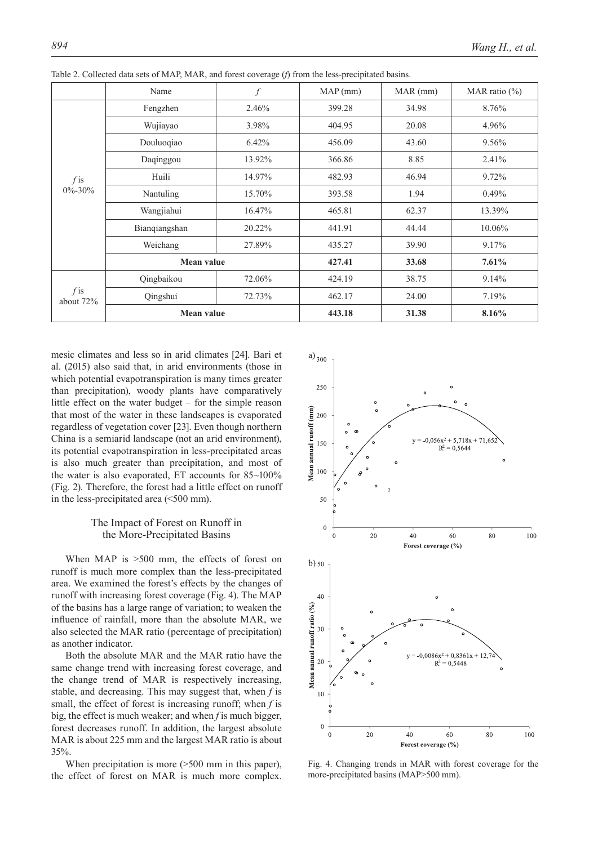|                     | Name              | $\int f$ | MAP(mm) | MAR(mm) | MAR ratio $(\%)$ |
|---------------------|-------------------|----------|---------|---------|------------------|
|                     | Fengzhen          | 2.46%    | 399.28  | 34.98   | 8.76%            |
|                     | Wujiayao          | 3.98%    | 404.95  | 20.08   | 4.96%            |
|                     | Douluoqiao        | 6.42%    | 456.09  | 43.60   | 9.56%            |
|                     | Daqinggou         | 13.92%   | 366.86  | 8.85    | 2.41%            |
| $f$ is              | Huili             | 14.97%   | 482.93  | 46.94   | 9.72%            |
| $0\% - 30\%$        | Nantuling         | 15.70%   | 393.58  | 1.94    | 0.49%            |
|                     | Wangjiahui        | 16.47%   | 465.81  | 62.37   | 13.39%           |
|                     | Bianqiangshan     | 20.22%   | 441.91  | 44.44   | 10.06%           |
|                     | Weichang          | 27.89%   | 435.27  | 39.90   | 9.17%            |
|                     | <b>Mean value</b> |          | 427.41  | 33.68   | 7.61%            |
|                     | Qingbaikou        | 72.06%   | 424.19  | 38.75   | 9.14%            |
| $f$ is<br>about 72% | Qingshui          | 72.73%   | 462.17  | 24.00   | 7.19%            |
|                     | Mean value        |          | 443.18  | 31.38   | 8.16%            |

Table 2. Collected data sets of MAP, MAR, and forest coverage (*f*) from the less-precipitated basins.

mesic climates and less so in arid climates [24]. Bari et al. (2015) also said that, in arid environments (those in which potential evapotranspiration is many times greater than precipitation), woody plants have comparatively little effect on the water budget – for the simple reason that most of the water in these landscapes is evaporated regardless of vegetation cover [23]. Even though northern China is a semiarid landscape (not an arid environment), its potential evapotranspiration in less-precipitated areas is also much greater than precipitation, and most of the water is also evaporated, ET accounts for 85~100% (Fig. 2). Therefore, the forest had a little effect on runoff in the less-precipitated area (<500 mm).

# The Impact of Forest on Runoff in the More-Precipitated Basins

When MAP is  $>500$  mm, the effects of forest on runoff is much more complex than the less-precipitated area. We examined the forest's effects by the changes of runoff with increasing forest coverage (Fig. 4). The MAP of the basins has a large range of variation; to weaken the influence of rainfall, more than the absolute MAR, we also selected the MAR ratio (percentage of precipitation) as another indicator.

Both the absolute MAR and the MAR ratio have the same change trend with increasing forest coverage, and the change trend of MAR is respectively increasing, stable, and decreasing. This may suggest that, when *f* is small, the effect of forest is increasing runoff; when *f* is big, the effect is much weaker; and when *f* is much bigger, forest decreases runoff. In addition, the largest absolute MAR is about 225 mm and the largest MAR ratio is about 35%.

When precipitation is more ( $>500$  mm in this paper), the effect of forest on MAR is much more complex.



Fig. 4. Changing trends in MAR with forest coverage for the more-precipitated basins (MAP>500 mm).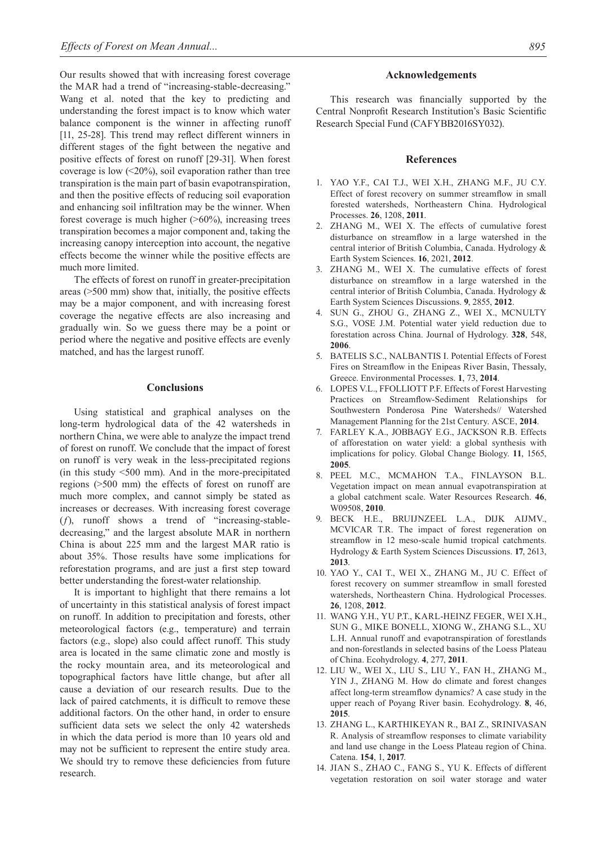Our results showed that with increasing forest coverage the MAR had a trend of "increasing-stable-decreasing." Wang et al. noted that the key to predicting and understanding the forest impact is to know which water balance component is the winner in affecting runoff [11, 25-28]. This trend may reflect different winners in different stages of the fight between the negative and positive effects of forest on runoff [29-31]. When forest coverage is low  $\left( \langle 20\% \rangle \right)$ , soil evaporation rather than tree transpiration is the main part of basin evapotranspiration, and then the positive effects of reducing soil evaporation and enhancing soil infiltration may be the winner. When forest coverage is much higher  $(>60\%)$ , increasing trees transpiration becomes a major component and, taking the increasing canopy interception into account, the negative effects become the winner while the positive effects are much more limited.

The effects of forest on runoff in greater-precipitation areas (>500 mm) show that, initially, the positive effects may be a major component, and with increasing forest coverage the negative effects are also increasing and gradually win. So we guess there may be a point or period where the negative and positive effects are evenly matched, and has the largest runoff.

#### **Conclusions**

Using statistical and graphical analyses on the long-term hydrological data of the 42 watersheds in northern China, we were able to analyze the impact trend of forest on runoff. We conclude that the impact of forest on runoff is very weak in the less-precipitated regions (in this study <500 mm). And in the more-precipitated regions (>500 mm) the effects of forest on runoff are much more complex, and cannot simply be stated as increases or decreases. With increasing forest coverage (*f*), runoff shows a trend of "increasing-stabledecreasing," and the largest absolute MAR in northern China is about 225 mm and the largest MAR ratio is about 35%. Those results have some implications for reforestation programs, and are just a first step toward better understanding the forest-water relationship.

It is important to highlight that there remains a lot of uncertainty in this statistical analysis of forest impact on runoff. In addition to precipitation and forests, other meteorological factors (e.g., temperature) and terrain factors (e.g., slope) also could affect runoff. This study area is located in the same climatic zone and mostly is the rocky mountain area, and its meteorological and topographical factors have little change, but after all cause a deviation of our research results. Due to the lack of paired catchments, it is difficult to remove these additional factors. On the other hand, in order to ensure sufficient data sets we select the only 42 watersheds in which the data period is more than 10 years old and may not be sufficient to represent the entire study area. We should try to remove these deficiencies from future research.

This research was financially supported by the Central Nonprofit Research Institution's Basic Scientific Research Special Fund (CAFYBB2016SY032).

#### **References**

- 1. YAO Y.F., CAI T.J., WEI X.H., ZHANG M.F., JU C.Y. Effect of forest recovery on summer streamflow in small forested watersheds, Northeastern China. Hydrological Processes. **26**, 1208, **2011**.
- 2. ZHANG M., WEI X. The effects of cumulative forest disturbance on streamflow in a large watershed in the central interior of British Columbia, Canada. Hydrology & Earth System Sciences. **16**, 2021, **2012**.
- 3. ZHANG M., WEI X. The cumulative effects of forest disturbance on streamflow in a large watershed in the central interior of British Columbia, Canada. Hydrology & Earth System Sciences Discussions. **9**, 2855, **2012**.
- 4. SUN G., ZHOU G., ZHANG Z., WEI X., MCNULTY S.G., VOSE J.M. Potential water yield reduction due to forestation across China. Journal of Hydrology. **328**, 548, **2006**.
- 5. BATELIS S.C., NALBANTIS I. Potential Effects of Forest Fires on Streamflow in the Enipeas River Basin, Thessaly, Greece. Environmental Processes. **1**, 73, **2014**.
- 6. LOPES V.L., FFOLLIOTT P.F. Effects of Forest Harvesting Practices on Streamflow-Sediment Relationships for Southwestern Ponderosa Pine Watersheds// Watershed Management Planning for the 21st Century. ASCE, **2014**.
- 7. FARLEY K.A., JOBBAGY E.G., JACKSON R.B. Effects of afforestation on water yield: a global synthesis with implications for policy. Global Change Biology. **11**, 1565, **2005**.
- 8. PEEL M.C., MCMAHON T.A., FINLAYSON B.L. Vegetation impact on mean annual evapotranspiration at a global catchment scale. Water Resources Research. **46**, W09508, **2010**.
- 9. BECK H.E., BRUIJNZEEL L.A., DIJK AIJMV., MCVICAR T.R. The impact of forest regeneration on streamflow in 12 meso-scale humid tropical catchments. Hydrology & Earth System Sciences Discussions. **17**, 2613, **2013**.
- 10. YAO Y., CAI T., WEI X., ZHANG M., JU C. Effect of forest recovery on summer streamflow in small forested watersheds, Northeastern China. Hydrological Processes. **26**, 1208, **2012**.
- 11. WANG Y.H., YU P.T., KARL-HEINZ FEGER, WEI X.H., SUN G., MIKE BONELL, XIONG W., ZHANG S.L., XU L.H. Annual runoff and evapotranspiration of forestlands and non-forestlands in selected basins of the Loess Plateau of China. Ecohydrology. **4**, 277, **2011**.
- 12. LIU W., WEI X., LIU S., LIU Y., FAN H., ZHANG M., YIN J., ZHANG M. How do climate and forest changes affect long-term streamflow dynamics? A case study in the upper reach of Poyang River basin. Ecohydrology. **8**, 46, **2015**.
- 13. ZHANG L., KARTHIKEYAN R., BAI Z., SRINIVASAN R. Analysis of streamflow responses to climate variability and land use change in the Loess Plateau region of China. Catena. **154**, 1, **2017**.
- 14. JIAN S., ZHAO C., FANG S., YU K. Effects of different vegetation restoration on soil water storage and water